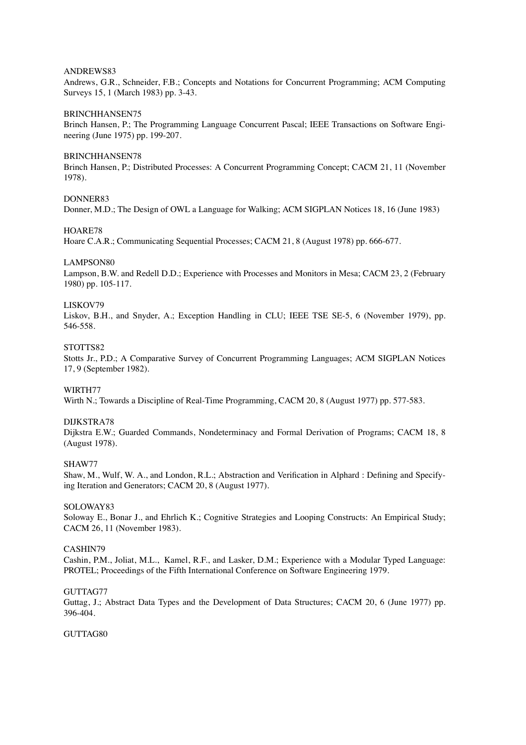### ANDREWS83

Andrews, G.R., Schneider, F.B.; Concepts and Notations for Concurrent Programming; ACM Computing Surveys 15, 1 (March 1983) pp. 3-43.

### BRINCHHANSEN75

Brinch Hansen, P.; The Programming Language Concurrent Pascal; IEEE Transactions on Software Engineering (June 1975) pp. 199-207.

#### BRINCHHANSEN78

Brinch Hansen, P.; Distributed Processes: A Concurrent Programming Concept; CACM 21, 11 (November 1978).

# DONNER83

Donner, M.D.; The Design of OWL a Language for Walking; ACM SIGPLAN Notices 18, 16 (June 1983)

### HOARE78

Hoare C.A.R.; Communicating Sequential Processes; CACM 21, 8 (August 1978) pp. 666-677.

### LAMPSON80

Lampson, B.W. and Redell D.D.; Experience with Processes and Monitors in Mesa; CACM 23, 2 (February 1980) pp. 105-117.

### LISKOV79

Liskov, B.H., and Snyder, A.; Exception Handling in CLU; IEEE TSE SE-5, 6 (November 1979), pp. 546-558.

## STOTTS82

Stotts Jr., P.D.; A Comparative Survey of Concurrent Programming Languages; ACM SIGPLAN Notices 17, 9 (September 1982).

# WIRTH77

Wirth N.; Towards a Discipline of Real-Time Programming, CACM 20, 8 (August 1977) pp. 577-583.

# DIJKSTRA78

Dijkstra E.W.; Guarded Commands, Nondeterminacy and Formal Derivation of Programs; CACM 18, 8 (August 1978).

# SHAW77

Shaw, M., Wulf, W. A., and London, R.L.; Abstraction and Verification in Alphard : Defining and Specifying Iteration and Generators; CACM 20, 8 (August 1977).

### SOLOWAY83

Soloway E., Bonar J., and Ehrlich K.; Cognitive Strategies and Looping Constructs: An Empirical Study; CACM 26, 11 (November 1983).

# CASHIN79

Cashin, P.M., Joliat, M.L., Kamel, R.F., and Lasker, D.M.; Experience with a Modular Typed Language: PROTEL; Proceedings of the Fifth International Conference on Software Engineering 1979.

# GUTTAG77

Guttag, J.; Abstract Data Types and the Development of Data Structures; CACM 20, 6 (June 1977) pp. 396-404.

# GUTTAG80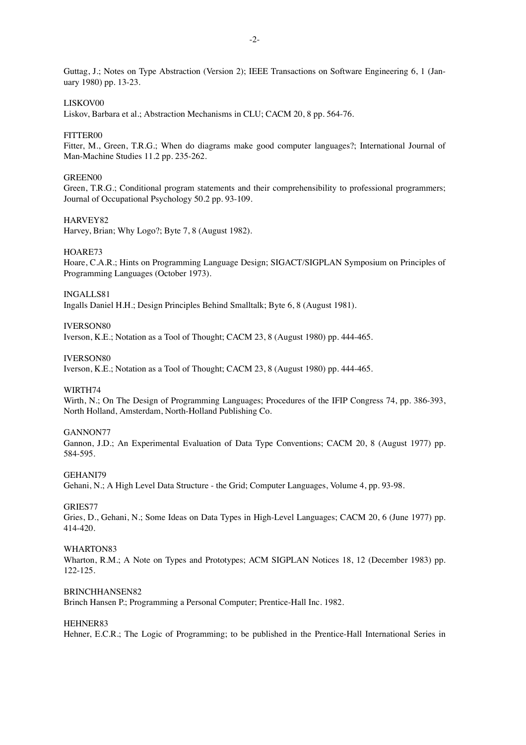Guttag, J.; Notes on Type Abstraction (Version 2); IEEE Transactions on Software Engineering 6, 1 (January 1980) pp. 13-23.

# LISKOV00

Liskov, Barbara et al.; Abstraction Mechanisms in CLU; CACM 20, 8 pp. 564-76.

### FITTER00

Fitter, M., Green, T.R.G.; When do diagrams make good computer languages?; International Journal of Man-Machine Studies 11.2 pp. 235-262.

#### GREEN00

Green, T.R.G.; Conditional program statements and their comprehensibility to professional programmers; Journal of Occupational Psychology 50.2 pp. 93-109.

# HARVEY82

Harvey, Brian; Why Logo?; Byte 7, 8 (August 1982).

### HOARE73

Hoare, C.A.R.; Hints on Programming Language Design; SIGACT/SIGPLAN Symposium on Principles of Programming Languages (October 1973).

# INGALLS81

Ingalls Daniel H.H.; Design Principles Behind Smalltalk; Byte 6, 8 (August 1981).

# IVERSON80

Iverson, K.E.; Notation as a Tool of Thought; CACM 23, 8 (August 1980) pp. 444-465.

## IVERSON80

Iverson, K.E.; Notation as a Tool of Thought; CACM 23, 8 (August 1980) pp. 444-465.

#### WIRTH74

Wirth, N.; On The Design of Programming Languages; Procedures of the IFIP Congress 74, pp. 386-393, North Holland, Amsterdam, North-Holland Publishing Co.

### GANNON77

Gannon, J.D.; An Experimental Evaluation of Data Type Conventions; CACM 20, 8 (August 1977) pp. 584-595.

#### GEHANI79

Gehani, N.; A High Level Data Structure - the Grid; Computer Languages, Volume 4, pp. 93-98.

#### GRIES77

Gries, D., Gehani, N.; Some Ideas on Data Types in High-Level Languages; CACM 20, 6 (June 1977) pp. 414-420.

### WHARTON83

Wharton, R.M.; A Note on Types and Prototypes; ACM SIGPLAN Notices 18, 12 (December 1983) pp. 122-125.

# BRINCHHANSEN82

Brinch Hansen P.; Programming a Personal Computer; Prentice-Hall Inc. 1982.

# HEHNER83

Hehner, E.C.R.; The Logic of Programming; to be published in the Prentice-Hall International Series in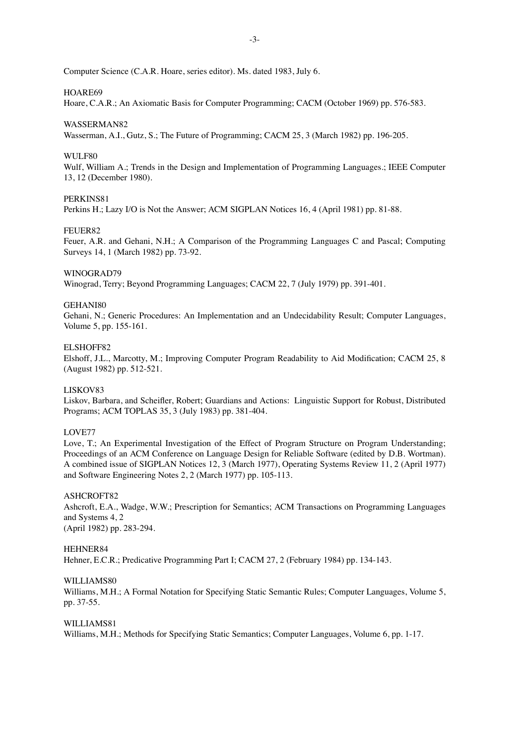Computer Science (C.A.R. Hoare, series editor). Ms. dated 1983, July 6.

# HOARE69

Hoare, C.A.R.; An Axiomatic Basis for Computer Programming; CACM (October 1969) pp. 576-583.

#### WASSERMAN82

Wasserman, A.I., Gutz, S.; The Future of Programming; CACM 25, 3 (March 1982) pp. 196-205.

#### WULF80

Wulf, William A.; Trends in the Design and Implementation of Programming Languages.; IEEE Computer 13, 12 (December 1980).

### PERKINS81

Perkins H.; Lazy I/O is Not the Answer; ACM SIGPLAN Notices 16, 4 (April 1981) pp. 81-88.

#### FEUER82

Feuer, A.R. and Gehani, N.H.; A Comparison of the Programming Languages C and Pascal; Computing Surveys 14, 1 (March 1982) pp. 73-92.

#### WINOGRAD79

Winograd, Terry; Beyond Programming Languages; CACM 22, 7 (July 1979) pp. 391-401.

### GEHANI80

Gehani, N.; Generic Procedures: An Implementation and an Undecidability Result; Computer Languages, Volume 5, pp. 155-161.

### ELSHOFF82

Elshoff, J.L., Marcotty, M.; Improving Computer Program Readability to Aid Modification; CACM 25, 8 (August 1982) pp. 512-521.

# LISKOV83

Liskov, Barbara, and Scheifler, Robert; Guardians and Actions: Linguistic Support for Robust, Distributed Programs; ACM TOPLAS 35, 3 (July 1983) pp. 381-404.

### LOVE77

Love, T.; An Experimental Investigation of the Effect of Program Structure on Program Understanding; Proceedings of an ACM Conference on Language Design for Reliable Software (edited by D.B. Wortman). A combined issue of SIGPLAN Notices 12, 3 (March 1977), Operating Systems Review 11, 2 (April 1977) and Software Engineering Notes 2, 2 (March 1977) pp. 105-113.

#### ASHCROFT82

Ashcroft, E.A., Wadge, W.W.; Prescription for Semantics; ACM Transactions on Programming Languages and Systems 4, 2 (April 1982) pp. 283-294.

#### HEHNER84

Hehner, E.C.R.; Predicative Programming Part I; CACM 27, 2 (February 1984) pp. 134-143.

#### WILLIAMS80

Williams, M.H.; A Formal Notation for Specifying Static Semantic Rules; Computer Languages, Volume 5, pp. 37-55.

# WILLIAMS81

Williams, M.H.; Methods for Specifying Static Semantics; Computer Languages, Volume 6, pp. 1-17.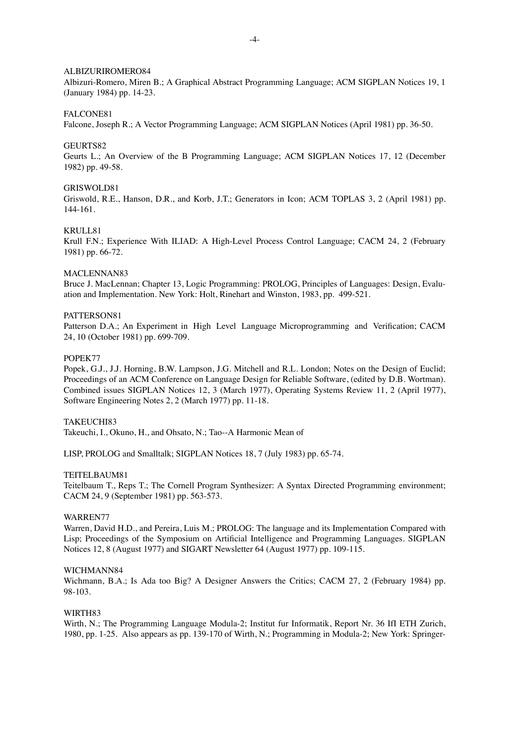### ALBIZURIROMERO84

Albizuri-Romero, Miren B.; A Graphical Abstract Programming Language; ACM SIGPLAN Notices 19, 1 (January 1984) pp. 14-23.

#### FALCONE81

Falcone, Joseph R.; A Vector Programming Language; ACM SIGPLAN Notices (April 1981) pp. 36-50.

#### GEURTS82

Geurts L.; An Overview of the B Programming Language; ACM SIGPLAN Notices 17, 12 (December 1982) pp. 49-58.

### GRISWOLD81

Griswold, R.E., Hanson, D.R., and Korb, J.T.; Generators in Icon; ACM TOPLAS 3, 2 (April 1981) pp. 144-161.

#### KRULL81

Krull F.N.; Experience With ILIAD: A High-Level Process Control Language; CACM 24, 2 (February 1981) pp. 66-72.

#### MACLENNAN83

Bruce J. MacLennan; Chapter 13, Logic Programming: PROLOG, Principles of Languages: Design, Evaluation and Implementation. New York: Holt, Rinehart and Winston, 1983, pp. 499-521.

# PATTERSON81

Patterson D.A.; An Experiment in High Level Language Microprogramming and Verification; CACM 24, 10 (October 1981) pp. 699-709.

#### POPEK77

Popek, G.J., J.J. Horning, B.W. Lampson, J.G. Mitchell and R.L. London; Notes on the Design of Euclid; Proceedings of an ACM Conference on Language Design for Reliable Software, (edited by D.B. Wortman). Combined issues SIGPLAN Notices 12, 3 (March 1977), Operating Systems Review 11, 2 (April 1977), Software Engineering Notes 2, 2 (March 1977) pp. 11-18.

### TAKEUCHI83

Takeuchi, I., Okuno, H., and Ohsato, N.; Tao--A Harmonic Mean of

LISP, PROLOG and Smalltalk; SIGPLAN Notices 18, 7 (July 1983) pp. 65-74.

#### TEITELBAUM81

Teitelbaum T., Reps T.; The Cornell Program Synthesizer: A Syntax Directed Programming environment; CACM 24, 9 (September 1981) pp. 563-573.

# WARREN77

Warren, David H.D., and Pereira, Luis M.; PROLOG: The language and its Implementation Compared with Lisp; Proceedings of the Symposium on Artificial Intelligence and Programming Languages. SIGPLAN Notices 12, 8 (August 1977) and SIGART Newsletter 64 (August 1977) pp. 109-115.

#### WICHMANN84

Wichmann, B.A.; Is Ada too Big? A Designer Answers the Critics; CACM 27, 2 (February 1984) pp. 98-103.

#### WIRTH83

Wirth, N.; The Programming Language Modula-2; Institut fur Informatik, Report Nr. 36 IfI ETH Zurich, 1980, pp. 1-25. Also appears as pp. 139-170 of Wirth, N.; Programming in Modula-2; New York: Springer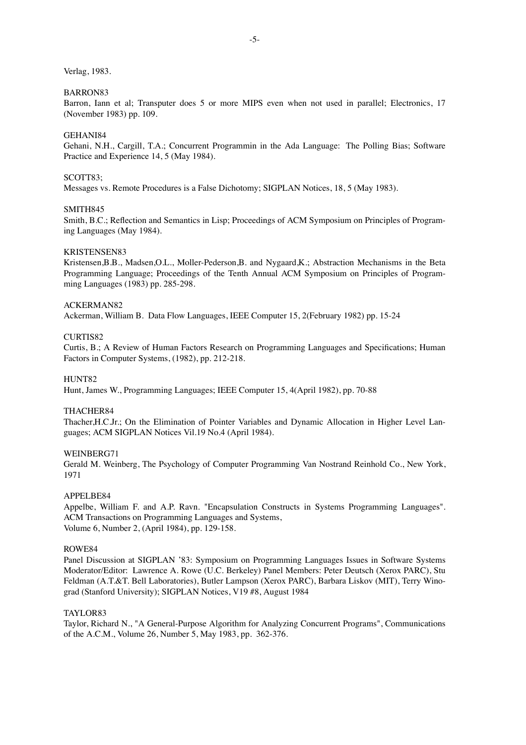Verlag, 1983.

# BARRON83

Barron, Iann et al; Transputer does 5 or more MIPS even when not used in parallel; Electronics, 17 (November 1983) pp. 109.

#### GEHANI84

Gehani, N.H., Cargill, T.A.; Concurrent Programmin in the Ada Language: The Polling Bias; Software Practice and Experience 14, 5 (May 1984).

### SCOTT83;

Messages vs. Remote Procedures is a False Dichotomy; SIGPLAN Notices, 18, 5 (May 1983).

# SMITH845

Smith, B.C.; Reflection and Semantics in Lisp; Proceedings of ACM Symposium on Principles of Programing Languages (May 1984).

# KRISTENSEN83

Kristensen,B.B., Madsen,O.L., Moller-Pederson,B. and Nygaard,K.; Abstraction Mechanisms in the Beta Programming Language; Proceedings of the Tenth Annual ACM Symposium on Principles of Programming Languages (1983) pp. 285-298.

### ACKERMAN82

Ackerman, William B. Data Flow Languages, IEEE Computer 15, 2(February 1982) pp. 15-24

#### CURTIS82

Curtis, B.; A Review of Human Factors Research on Programming Languages and Specifications; Human Factors in Computer Systems, (1982), pp. 212-218.

#### HUNT82

Hunt, James W., Programming Languages; IEEE Computer 15, 4(April 1982), pp. 70-88

### THACHER84

Thacher,H.C.Jr.; On the Elimination of Pointer Variables and Dynamic Allocation in Higher Level Languages; ACM SIGPLAN Notices Vil.19 No.4 (April 1984).

#### WEINBERG71

Gerald M. Weinberg, The Psychology of Computer Programming Van Nostrand Reinhold Co., New York, 1971

#### APPELBE84

Appelbe, William F. and A.P. Ravn. "Encapsulation Constructs in Systems Programming Languages". ACM Transactions on Programming Languages and Systems, Volume 6, Number 2, (April 1984), pp. 129-158.

# ROWE84

Panel Discussion at SIGPLAN '83: Symposium on Programming Languages Issues in Software Systems Moderator/Editor: Lawrence A. Rowe (U.C. Berkeley) Panel Members: Peter Deutsch (Xerox PARC), Stu Feldman (A.T.&T. Bell Laboratories), Butler Lampson (Xerox PARC), Barbara Liskov (MIT), Terry Winograd (Stanford University); SIGPLAN Notices, V19 #8, August 1984

#### TAYLOR83

Taylor, Richard N., "A General-Purpose Algorithm for Analyzing Concurrent Programs", Communications of the A.C.M., Volume 26, Number 5, May 1983, pp. 362-376.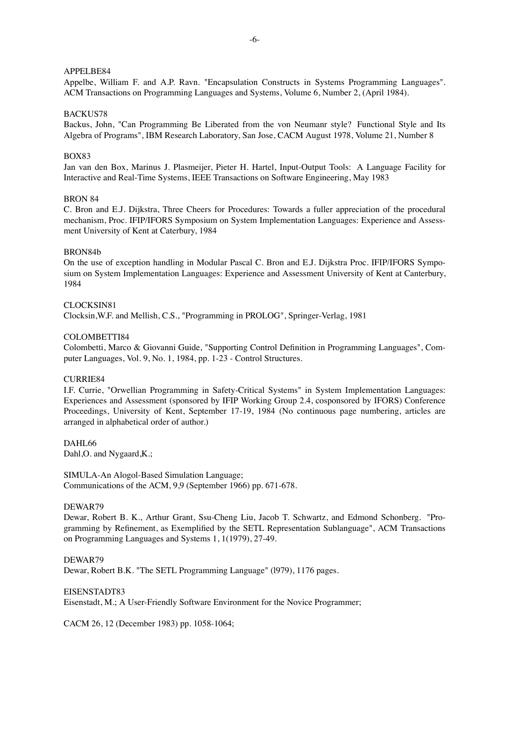# APPELBE84

Appelbe, William F. and A.P. Ravn. "Encapsulation Constructs in Systems Programming Languages". ACM Transactions on Programming Languages and Systems, Volume 6, Number 2, (April 1984).

# BACKUS78

Backus, John, "Can Programming Be Liberated from the von Neumanr style? Functional Style and Its Algebra of Programs", IBM Research Laboratory, San Jose, CACM August 1978, Volume 21, Number 8

# BOX83

Jan van den Box, Marinus J. Plasmeijer, Pieter H. Hartel, Input-Output Tools: A Language Facility for Interactive and Real-Time Systems, IEEE Transactions on Software Engineering, May 1983

# BRON 84

C. Bron and E.J. Dijkstra, Three Cheers for Procedures: Tow ards a fuller appreciation of the procedural mechanism, Proc. IFIP/IFORS Symposium on System Implementation Languages: Experience and Assessment University of Kent at Caterbury, 1984

# BRON84b

On the use of exception handling in Modular Pascal C. Bron and E.J. Dijkstra Proc. IFIP/IFORS Symposium on System Implementation Languages: Experience and Assessment University of Kent at Canterbury, 1984

### CLOCKSIN81

Clocksin,W.F. and Mellish, C.S., "Programming in PROLOG", Springer-Verlag, 1981

# COLOMBETTI84

Colombetti, Marco & Giovanni Guide, "Supporting Control Definition in Programming Languages", Computer Languages, Vol. 9, No. 1, 1984, pp. 1-23 - Control Structures.

# CURRIE84

I.F. Currie, "Orwellian Programming in Safety-Critical Systems" in System Implementation Languages: Experiences and Assessment (sponsored by IFIP Working Group 2.4, cosponsored by IFORS) Conference Proceedings, University of Kent, September 17-19, 1984 (No continuous page numbering, articles are arranged in alphabetical order of author.)

# DAHL66

Dahl, O. and Nygaard, K.;

SIMULA-An Alogol-Based Simulation Language; Communications of the ACM, 9,9 (September 1966) pp. 671-678.

#### DEWAR79

Dewar, Robert B. K., Arthur Grant, Ssu-Cheng Liu, Jacob T. Schwartz, and Edmond Schonberg. "Programming by Refinement, as Exemplified by the SETL Representation Sublanguage", ACM Transactions on Programming Languages and Systems 1, 1(1979), 27-49.

# DEWAR79

Dewar, Robert B.K. "The SETL Programming Language" (l979), 1176 pages.

# EISENSTADT83

Eisenstadt, M.; A User-Friendly Software Environment for the Novice Programmer;

CACM 26, 12 (December 1983) pp. 1058-1064;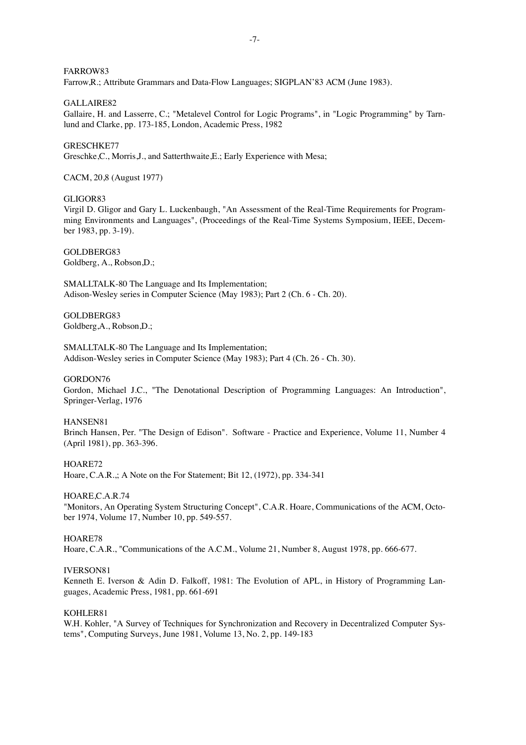FARROW83

Farrow,R.; Attribute Grammars and Data-Flow Languages; SIGPLAN'83 ACM (June 1983).

GALLAIRE82

Gallaire, H. and Lasserre, C.; "Metalevel Control for Logic Programs", in "Logic Programming" by Tarnlund and Clarke, pp. 173-185, London, Academic Press, 1982

### GRESCHKE77

Greschke,C., Morris,J., and Satterthwaite,E.; Early Experience with Mesa;

CACM, 20,8 (August 1977)

## GLIGOR83

Virgil D. Gligor and Gary L. Luckenbaugh, "An Assessment of the Real-Time Requirements for Programming Environments and Languages", (Proceedings of the Real-Time Systems Symposium, IEEE, December 1983, pp. 3-19).

GOLDBERG83 Goldberg, A., Robson,D.;

SMALLTALK-80 The Language and Its Implementation; Adison-Wesley series in Computer Science (May 1983); Part 2 (Ch. 6 - Ch. 20).

GOLDBERG83 Goldberg,A., Robson,D.;

SMALLTALK-80 The Language and Its Implementation; Addison-Wesley series in Computer Science (May 1983); Part 4 (Ch. 26 - Ch. 30).

GORDON76

Gordon, Michael J.C., "The Denotational Description of Programming Languages: An Introduction", Springer-Verlag, 1976

# HANSEN81

Brinch Hansen, Per. "The Design of Edison". Software - Practice and Experience, Volume 11, Number 4 (April 1981), pp. 363-396.

#### HOARE72

Hoare, C.A.R.,; A Note on the For Statement; Bit 12, (1972), pp. 334-341

HOARE,C.A.R.74

"Monitors, An Operating System Structuring Concept", C.A.R. Hoare, Communications of the ACM, October 1974, Volume 17, Number 10, pp. 549-557.

## HOARE78

Hoare, C.A.R., "Communications of the A.C.M., Volume 21, Number 8, August 1978, pp. 666-677.

#### IVERSON81

Kenneth E. Iverson & Adin D. Falkoff, 1981: The Evolution of APL, in History of Programming Languages, Academic Press, 1981, pp. 661-691

### KOHLER81

W.H. Kohler, "A Survey of Techniques for Synchronization and Recovery in Decentralized Computer Systems", Computing Surveys, June 1981, Volume 13, No. 2, pp. 149-183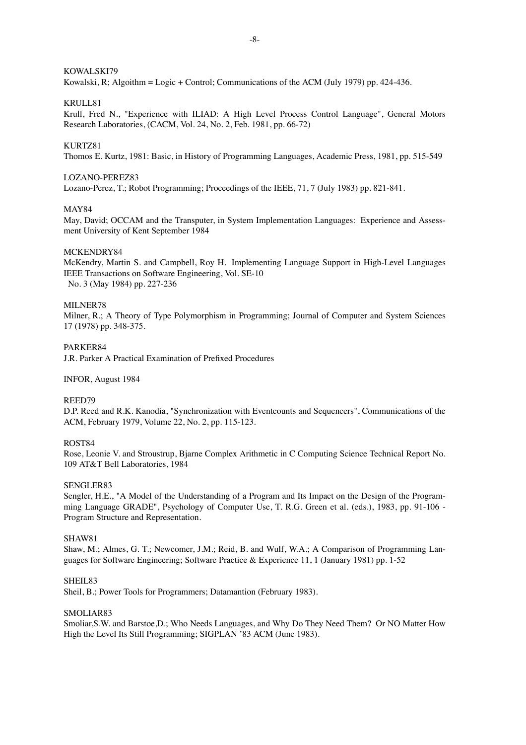# KOWALSKI79

Kowalski, R; Algoithm = Logic + Control; Communications of the ACM (July 1979) pp. 424-436.

# KRULL81

Krull, Fred N., "Experience with ILIAD: A High Level Process Control Language", General Motors Research Laboratories, (CACM, Vol. 24, No. 2, Feb. 1981, pp. 66-72)

### KURTZ81

Thomos E. Kurtz, 1981: Basic, in History of Programming Languages, Academic Press, 1981, pp. 515-549

# LOZANO-PEREZ83

Lozano-Perez, T.; Robot Programming; Proceedings of the IEEE, 71, 7 (July 1983) pp. 821-841.

## MAY84

May, David; OCCAM and the Transputer, in System Implementation Languages: Experience and Assessment University of Kent September 1984

### MCKENDRY84

McKendry, Martin S. and Campbell, Roy H. Implementing Language Support in High-Level Languages IEEE Transactions on Software Engineering, Vol. SE-10 No. 3 (May 1984) pp. 227-236

### MILNER78

Milner, R.; A Theory of Type Polymorphism in Programming; Journal of Computer and System Sciences 17 (1978) pp. 348-375.

### PARKER84

J.R. Parker A Practical Examination of Prefixed Procedures

#### INFOR, August 1984

# REED79

D.P. Reed and R.K. Kanodia, "Synchronization with Eventcounts and Sequencers", Communications of the ACM, February 1979, Volume 22, No. 2, pp. 115-123.

# ROST84

Rose, Leonie V. and Stroustrup, Bjarne Complex Arithmetic in C Computing Science Technical Report No. 109 AT&T Bell Laboratories, 1984

# SENGLER83

Sengler, H.E., "A Model of the Understanding of a Program and Its Impact on the Design of the Programming Language GRADE", Psychology of Computer Use, T. R.G. Green et al. (eds.), 1983, pp. 91-106 - Program Structure and Representation.

#### SHAW81

Shaw, M.; Almes, G. T.; Newcomer, J.M.; Reid, B. and Wulf, W.A.; A Comparison of Programming Languages for Software Engineering; Software Practice & Experience 11, 1 (January 1981) pp. 1-52

#### SHEIL83

Sheil, B.; Power Tools for Programmers; Datamantion (February 1983).

#### SMOLIAR83

Smoliar,S.W. and Barstoe,D.; Who Needs Languages, and Why Do They Need Them? Or NO Matter How High the Level Its Still Programming; SIGPLAN '83 ACM (June 1983).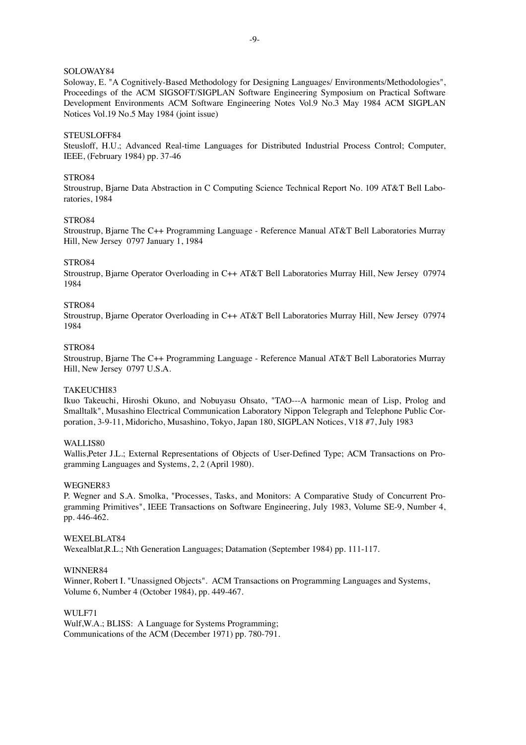### SOLOWAY84

Soloway, E. "A Cognitively-Based Methodology for Designing Languages/ Environments/Methodologies", Proceedings of the ACM SIGSOFT/SIGPLAN Software Engineering Symposium on Practical Software Development Environments ACM Software Engineering Notes Vol.9 No.3 May 1984 ACM SIGPLAN Notices Vol.19 No.5 May 1984 (joint issue)

# STEUSLOFF84

Steusloff, H.U.; Advanced Real-time Languages for Distributed Industrial Process Control; Computer, IEEE, (February 1984) pp. 37-46

#### STRO84

Stroustrup, Bjarne Data Abstraction in C Computing Science Technical Report No. 109 AT&T Bell Laboratories, 1984

# STRO84

Stroustrup, Bjarne The C++ Programming Language - Reference Manual AT&T Bell Laboratories Murray Hill, New Jersey 0797 January 1, 1984

### STRO84

Stroustrup, Bjarne Operator Overloading in C++ AT&T Bell Laboratories Murray Hill, New Jersey 07974 1984

#### STRO84

Stroustrup, Bjarne Operator Overloading in C++ AT&T Bell Laboratories Murray Hill, New Jersey 07974 1984

## STRO84

Stroustrup, Bjarne The C++ Programming Language - Reference Manual AT&T Bell Laboratories Murray Hill, New Jersey 0797 U.S.A.

# TAKEUCHI83

Ikuo Takeuchi, Hiroshi Okuno, and Nobuyasu Ohsato, "TAO---A harmonic mean of Lisp, Prolog and Smalltalk", Musashino Electrical Communication Laboratory Nippon Telegraph and Telephone Public Corporation, 3-9-11, Midoricho, Musashino, Tokyo, Japan 180, SIGPLAN Notices, V18 #7, July 1983

# WALLIS80

Wallis,Peter J.L.; External Representations of Objects of User-Defined Type; ACM Transactions on Programming Languages and Systems, 2, 2 (April 1980).

### WEGNER83

P. Wegner and S.A. Smolka, "Processes, Tasks, and Monitors: A Comparative Study of Concurrent Programming Primitives", IEEE Transactions on Software Engineering, July 1983, Volume SE-9, Number 4, pp. 446-462.

#### WEXELBLAT84

We x ealblat, R.L.; Nth Generation Languages; Datamation (September 1984) pp. 111-117.

#### WINNER84

Winner, Robert I. "Unassigned Objects". ACM Transactions on Programming Languages and Systems, Volume 6, Number 4 (October 1984), pp. 449-467.

#### WULF71

Wulf, W.A.; BLISS: A Language for Systems Programming; Communications of the ACM (December 1971) pp. 780-791.